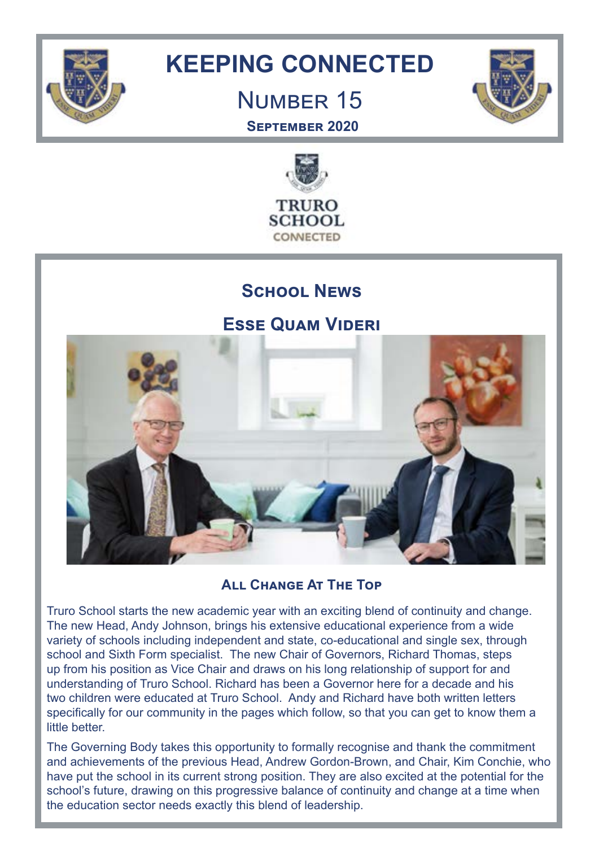

# **KEEPING CONNECTED**

# Number 15



**September 2020**



## **School News**

**Esse Quam Videri**



**All Change At The Top**

Truro School starts the new academic year with an exciting blend of continuity and change. The new Head, Andy Johnson, brings his extensive educational experience from a wide variety of schools including independent and state, co-educational and single sex, through school and Sixth Form specialist. The new Chair of Governors, Richard Thomas, steps up from his position as Vice Chair and draws on his long relationship of support for and understanding of Truro School. Richard has been a Governor here for a decade and his two children were educated at Truro School. Andy and Richard have both written letters specifically for our community in the pages which follow, so that you can get to know them a little better.

The Governing Body takes this opportunity to formally recognise and thank the commitment and achievements of the previous Head, Andrew Gordon-Brown, and Chair, Kim Conchie, who have put the school in its current strong position. They are also excited at the potential for the school's future, drawing on this progressive balance of continuity and change at a time when the education sector needs exactly this blend of leadership.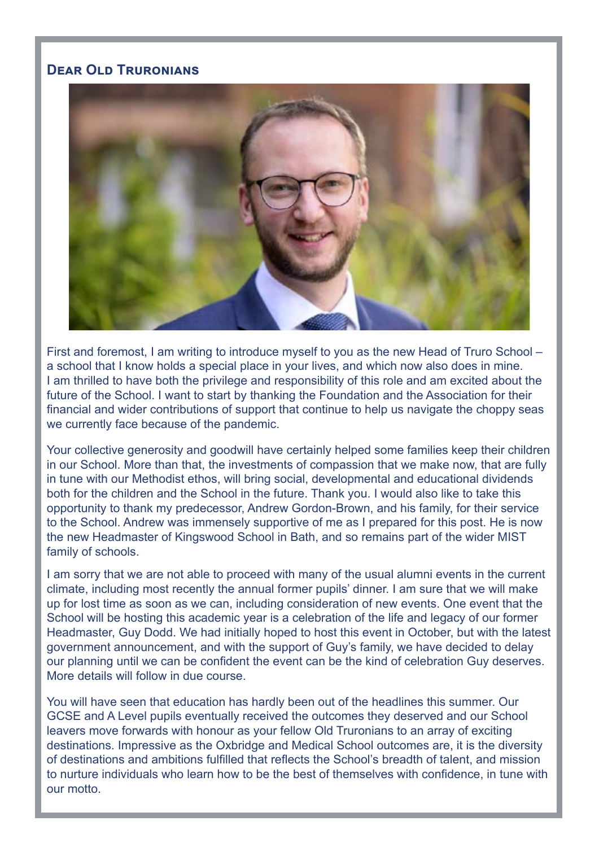## **Dear Old Truronians**



First and foremost, I am writing to introduce myself to you as the new Head of Truro School – a school that I know holds a special place in your lives, and which now also does in mine. I am thrilled to have both the privilege and responsibility of this role and am excited about the future of the School. I want to start by thanking the Foundation and the Association for their financial and wider contributions of support that continue to help us navigate the choppy seas we currently face because of the pandemic.

Your collective generosity and goodwill have certainly helped some families keep their children in our School. More than that, the investments of compassion that we make now, that are fully in tune with our Methodist ethos, will bring social, developmental and educational dividends both for the children and the School in the future. Thank you. I would also like to take this opportunity to thank my predecessor, Andrew Gordon-Brown, and his family, for their service to the School. Andrew was immensely supportive of me as I prepared for this post. He is now the new Headmaster of Kingswood School in Bath, and so remains part of the wider MIST family of schools.

I am sorry that we are not able to proceed with many of the usual alumni events in the current climate, including most recently the annual former pupils' dinner. I am sure that we will make up for lost time as soon as we can, including consideration of new events. One event that the School will be hosting this academic year is a celebration of the life and legacy of our former Headmaster, Guy Dodd. We had initially hoped to host this event in October, but with the latest government announcement, and with the support of Guy's family, we have decided to delay our planning until we can be confident the event can be the kind of celebration Guy deserves. More details will follow in due course.

You will have seen that education has hardly been out of the headlines this summer. Our GCSE and A Level pupils eventually received the outcomes they deserved and our School leavers move forwards with honour as your fellow Old Truronians to an array of exciting destinations. Impressive as the Oxbridge and Medical School outcomes are, it is the diversity of destinations and ambitions fulfilled that reflects the School's breadth of talent, and mission to nurture individuals who learn how to be the best of themselves with confidence, in tune with our motto.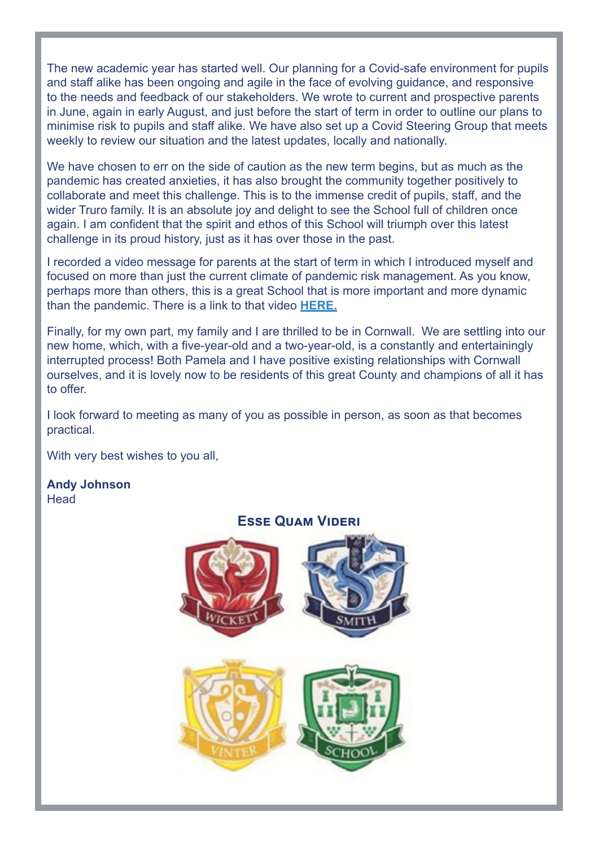The new academic year has started well. Our planning for a Covid-safe environment for pupils and staff alike has been ongoing and agile in the face of evolving guidance, and responsive to the needs and feedback of our stakeholders. We wrote to current and prospective parents in June, again in early August, and just before the start of term in order to outline our plans to minimise risk to pupils and staff alike. We have also set up a Covid Steering Group that meets weekly to review our situation and the latest updates, locally and nationally.

We have chosen to err on the side of caution as the new term begins, but as much as the pandemic has created anxieties, it has also brought the community together positively to collaborate and meet this challenge. This is to the immense credit of pupils, staff, and the wider Truro family. It is an absolute joy and delight to see the School full of children once again. I am confident that the spirit and ethos of this School will triumph over this latest challenge in its proud history, just as it has over those in the past.

I recorded a video message for parents at the start of term in which I introduced myself and focused on more than just the current climate of pandemic risk management. As you know, perhaps more than others, this is a great School that is more important and more dynamic than the pandemic. There is a link to that video **[HERE.](https://www.truroschool.com/latest-news/a-video-welcome-from-andy-johnson/)**

Finally, for my own part, my family and I are thrilled to be in Cornwall. We are settling into our new home, which, with a five-year-old and a two-year-old, is a constantly and entertainingly interrupted process! Both Pamela and I have positive existing relationships with Cornwall ourselves, and it is lovely now to be residents of this great County and champions of all it has to offer.

I look forward to meeting as many of you as possible in person, as soon as that becomes practical.

With very best wishes to you all,

#### **Andy Johnson Head**

#### **Esse Quam Videri**

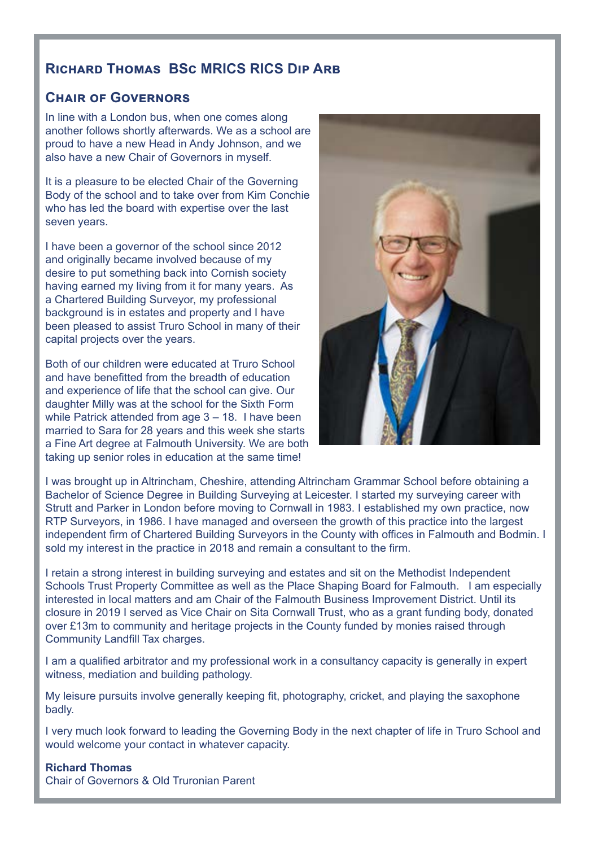#### **Richard Thomas BSc MRICS RICS Dip Arb**

#### **Chair of Governors**

In line with a London bus, when one comes along another follows shortly afterwards. We as a school are proud to have a new Head in Andy Johnson, and we also have a new Chair of Governors in myself.

It is a pleasure to be elected Chair of the Governing Body of the school and to take over from Kim Conchie who has led the board with expertise over the last seven years.

I have been a governor of the school since 2012 and originally became involved because of my desire to put something back into Cornish society having earned my living from it for many years. As a Chartered Building Surveyor, my professional background is in estates and property and I have been pleased to assist Truro School in many of their capital projects over the years.

Both of our children were educated at Truro School and have benefitted from the breadth of education and experience of life that the school can give. Our daughter Milly was at the school for the Sixth Form while Patrick attended from age 3 – 18. I have been married to Sara for 28 years and this week she starts a Fine Art degree at Falmouth University. We are both taking up senior roles in education at the same time!



I was brought up in Altrincham, Cheshire, attending Altrincham Grammar School before obtaining a Bachelor of Science Degree in Building Surveying at Leicester. I started my surveying career with Strutt and Parker in London before moving to Cornwall in 1983. I established my own practice, now RTP Surveyors, in 1986. I have managed and overseen the growth of this practice into the largest independent firm of Chartered Building Surveyors in the County with offices in Falmouth and Bodmin. I sold my interest in the practice in 2018 and remain a consultant to the firm.

I retain a strong interest in building surveying and estates and sit on the Methodist Independent Schools Trust Property Committee as well as the Place Shaping Board for Falmouth. I am especially interested in local matters and am Chair of the Falmouth Business Improvement District. Until its closure in 2019 I served as Vice Chair on Sita Cornwall Trust, who as a grant funding body, donated over £13m to community and heritage projects in the County funded by monies raised through Community Landfill Tax charges.

I am a qualified arbitrator and my professional work in a consultancy capacity is generally in expert witness, mediation and building pathology.

My leisure pursuits involve generally keeping fit, photography, cricket, and playing the saxophone badly.

I very much look forward to leading the Governing Body in the next chapter of life in Truro School and would welcome your contact in whatever capacity.

#### **Richard Thomas**

Chair of Governors & Old Truronian Parent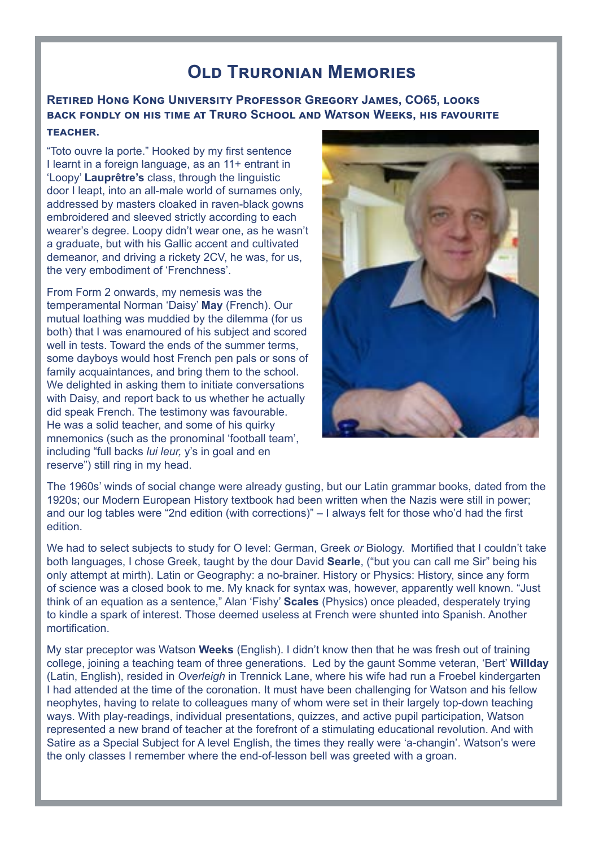## **Old Truronian [Memories](http://Memories - Gregory James CO65  “Toto ouvre la porte.” Hooked by this first sentence I learnt in a fo)**

#### **[Retired Hong Kong University Professor Gregory James, CO65, looks](http://Memories - Gregory James CO65  “Toto ouvre la porte.” Hooked by this first sentence I learnt in a fo)  [back fondly on his time at Truro School and Watson Weeks, his favourite](http://Memories - Gregory James CO65  “Toto ouvre la porte.” Hooked by this first sentence I learnt in a fo)  [teacher.](http://Memories - Gregory James CO65  “Toto ouvre la porte.” Hooked by this first sentence I learnt in a fo)**

["Toto ouvre la porte." Hooked by my first sentence](http://Memories - Gregory James CO65  “Toto ouvre la porte.” Hooked by this first sentence I learnt in a fo)  [I learnt in a foreign language, as an 11+ entrant in](http://Memories - Gregory James CO65  “Toto ouvre la porte.” Hooked by this first sentence I learnt in a fo)  'Loopy' **Lauprêtre's** [class, through the linguistic](http://Memories - Gregory James CO65  “Toto ouvre la porte.” Hooked by this first sentence I learnt in a fo)  [door I leapt, into an all-male world of surnames only,](http://Memories - Gregory James CO65  “Toto ouvre la porte.” Hooked by this first sentence I learnt in a fo)  [addressed by masters cloaked in raven-black gowns](http://Memories - Gregory James CO65  “Toto ouvre la porte.” Hooked by this first sentence I learnt in a fo)  [embroidered and sleeved strictly according to each](http://Memories - Gregory James CO65  “Toto ouvre la porte.” Hooked by this first sentence I learnt in a fo)  [wearer's degree. Loopy didn't wear one, as he wasn't](http://Memories - Gregory James CO65  “Toto ouvre la porte.” Hooked by this first sentence I learnt in a fo)  [a graduate, but with his Gallic accent and cultivated](http://Memories - Gregory James CO65  “Toto ouvre la porte.” Hooked by this first sentence I learnt in a fo)  [demeanor, and driving a rickety 2CV, he was, for us,](http://Memories - Gregory James CO65  “Toto ouvre la porte.” Hooked by this first sentence I learnt in a fo)  [the very embodiment of 'Frenchness'.](http://Memories - Gregory James CO65  “Toto ouvre la porte.” Hooked by this first sentence I learnt in a fo)

[From Form 2 onwards, my nemesis was the](http://Memories - Gregory James CO65  “Toto ouvre la porte.” Hooked by this first sentence I learnt in a fo)  [temperamental Norman 'Daisy'](http://Memories - Gregory James CO65  “Toto ouvre la porte.” Hooked by this first sentence I learnt in a fo) **May** (French). Our [mutual loathing was muddied by the dilemma \(for us](http://Memories - Gregory James CO65  “Toto ouvre la porte.” Hooked by this first sentence I learnt in a fo)  [both\) that I was enamoured of his subject and scored](http://Memories - Gregory James CO65  “Toto ouvre la porte.” Hooked by this first sentence I learnt in a fo)  [well in tests. Toward the ends of the summer terms,](http://Memories - Gregory James CO65  “Toto ouvre la porte.” Hooked by this first sentence I learnt in a fo)  [some dayboys would host French pen pals or sons of](http://Memories - Gregory James CO65  “Toto ouvre la porte.” Hooked by this first sentence I learnt in a fo)  [family acquaintances, and bring them to the school.](http://Memories - Gregory James CO65  “Toto ouvre la porte.” Hooked by this first sentence I learnt in a fo)  We delighted in asking them to initiate conversations [with Daisy, and report back to us whether he actually](http://Memories - Gregory James CO65  “Toto ouvre la porte.” Hooked by this first sentence I learnt in a fo)  [did speak French. The testimony was favourable.](http://Memories - Gregory James CO65  “Toto ouvre la porte.” Hooked by this first sentence I learnt in a fo)  [He was a solid teacher, and some of his quirky](http://Memories - Gregory James CO65  “Toto ouvre la porte.” Hooked by this first sentence I learnt in a fo)  [mnemonics \(such as the pronominal 'football team',](http://Memories - Gregory James CO65  “Toto ouvre la porte.” Hooked by this first sentence I learnt in a fo)  [including "full backs](http://Memories - Gregory James CO65  “Toto ouvre la porte.” Hooked by this first sentence I learnt in a fo) *lui leur,* y's in goal and en [reserve"\) still ring in my head.](http://Memories - Gregory James CO65  “Toto ouvre la porte.” Hooked by this first sentence I learnt in a fo)



[The 1960s' winds of social change were already gusting, but our Latin grammar books, dated from the](http://Memories - Gregory James CO65  “Toto ouvre la porte.” Hooked by this first sentence I learnt in a fo)  [1920s; our Modern European History textbook had been written when the Nazis were still in power;](http://Memories - Gregory James CO65  “Toto ouvre la porte.” Hooked by this first sentence I learnt in a fo)  [and our log tables were "2nd edition \(with corrections\)" – I always felt for those who'd had the first](http://Memories - Gregory James CO65  “Toto ouvre la porte.” Hooked by this first sentence I learnt in a fo)  [edition.](http://Memories - Gregory James CO65  “Toto ouvre la porte.” Hooked by this first sentence I learnt in a fo)

[We had to select subjects to study for O level: German, Greek](http://Memories - Gregory James CO65  “Toto ouvre la porte.” Hooked by this first sentence I learnt in a fo) *or* Biology. Mortified that I couldn't take [both languages, I chose Greek, taught by the dour David](http://Memories - Gregory James CO65  “Toto ouvre la porte.” Hooked by this first sentence I learnt in a fo) **Searle**, ("but you can call me Sir" being his [only attempt at mirth\). Latin or Geography: a no-brainer. History or Physics: History, since any form](http://Memories - Gregory James CO65  “Toto ouvre la porte.” Hooked by this first sentence I learnt in a fo)  [of science was a closed book to me. My knack for syntax was, however, apparently well known. "Just](http://Memories - Gregory James CO65  “Toto ouvre la porte.” Hooked by this first sentence I learnt in a fo)  [think of an equation as a sentence," Alan 'Fishy'](http://Memories - Gregory James CO65  “Toto ouvre la porte.” Hooked by this first sentence I learnt in a fo) **Scales** (Physics) once pleaded, desperately trying [to kindle a spark of interest. Those deemed useless at French were shunted into Spanish. Another](http://Memories - Gregory James CO65  “Toto ouvre la porte.” Hooked by this first sentence I learnt in a fo)  [mortification.](http://Memories - Gregory James CO65  “Toto ouvre la porte.” Hooked by this first sentence I learnt in a fo)

My star preceptor was Watson **Weeks** [\(English\). I didn't know then that he was fresh out of training](http://Memories - Gregory James CO65  “Toto ouvre la porte.” Hooked by this first sentence I learnt in a fo)  [college, joining a teaching team of three generations. Led by the gaunt Somme veteran, 'Bert'](http://Memories - Gregory James CO65  “Toto ouvre la porte.” Hooked by this first sentence I learnt in a fo) **Willday**  (Latin, English), resided in *Overleigh* [in Trennick Lane, where his wife had run a Froebel kindergarten](http://Memories - Gregory James CO65  “Toto ouvre la porte.” Hooked by this first sentence I learnt in a fo)  [I had attended at the time of the coronation. It must have been challenging for Watson and his fellow](http://Memories - Gregory James CO65  “Toto ouvre la porte.” Hooked by this first sentence I learnt in a fo)  [neophytes, having to relate to colleagues many of whom were set in their largely top-down teaching](http://Memories - Gregory James CO65  “Toto ouvre la porte.” Hooked by this first sentence I learnt in a fo)  [ways. With play-readings, individual presentations, quizzes, and active pupil participation, Watson](http://Memories - Gregory James CO65  “Toto ouvre la porte.” Hooked by this first sentence I learnt in a fo)  [represented a new brand of teacher at the forefront of a stimulating educational revolution. And with](http://Memories - Gregory James CO65  “Toto ouvre la porte.” Hooked by this first sentence I learnt in a fo)  [Satire as a Special Subject for A level English, the times they really were 'a-changin'. Watson's were](http://Memories - Gregory James CO65  “Toto ouvre la porte.” Hooked by this first sentence I learnt in a fo)  [the only classes I remember where the end-of-lesson bell was greeted with a groan.](http://Memories - Gregory James CO65  “Toto ouvre la porte.” Hooked by this first sentence I learnt in a fo)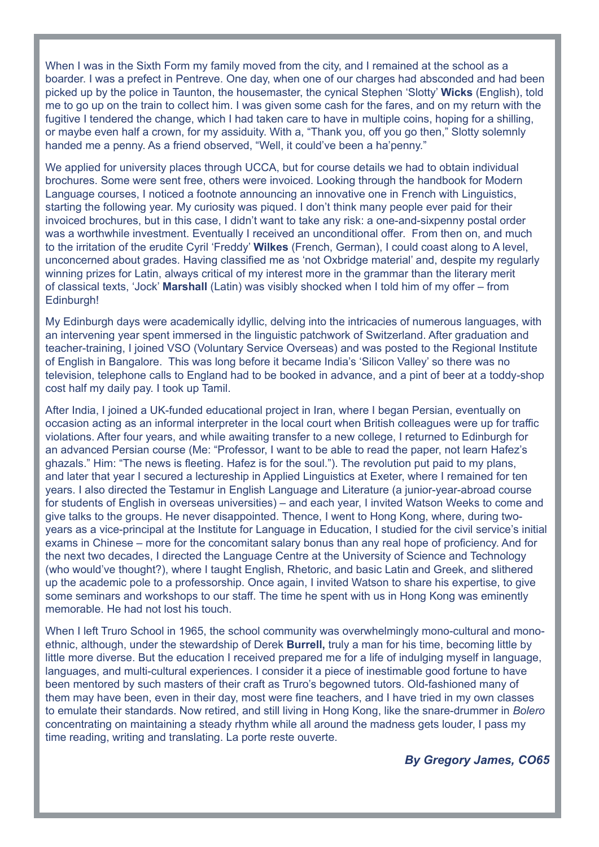When I was in the Sixth Form my family moved from the city, and I remained at the school as a [boarder. I was a prefect in Pentreve. One day, when one of our charges had absconded and had been](http://Memories - Gregory James CO65  “Toto ouvre la porte.” Hooked by this first sentence I learnt in a fo)  [picked up by the police in Taunton, the housemaster, the cynical Stephen 'Slotty'](http://Memories - Gregory James CO65  “Toto ouvre la porte.” Hooked by this first sentence I learnt in a fo) **Wicks** (English), told [me to go up on the train to collect him. I was given some cash for the fares, and on my return with the](http://Memories - Gregory James CO65  “Toto ouvre la porte.” Hooked by this first sentence I learnt in a fo)  fugitive I tendered the change, which I had taken care to have in multiple coins, hoping for a shilling, [or maybe even half a crown, for my assiduity. With a, "Thank you, off you go then," Slotty solemnly](http://Memories - Gregory James CO65  “Toto ouvre la porte.” Hooked by this first sentence I learnt in a fo)  [handed me a penny. As a friend observed, "Well, it could've been a ha'penny."](http://Memories - Gregory James CO65  “Toto ouvre la porte.” Hooked by this first sentence I learnt in a fo)

[We applied for university places through UCCA, but for course details we had to obtain individual](http://Memories - Gregory James CO65  “Toto ouvre la porte.” Hooked by this first sentence I learnt in a fo)  [brochures. Some were sent free, others were invoiced. Looking through the handbook for Modern](http://Memories - Gregory James CO65  “Toto ouvre la porte.” Hooked by this first sentence I learnt in a fo)  [Language courses, I noticed a footnote announcing an innovative one in French with Linguistics,](http://Memories - Gregory James CO65  “Toto ouvre la porte.” Hooked by this first sentence I learnt in a fo)  [starting the following year. My curiosity was piqued. I don't think many people ever paid for their](http://Memories - Gregory James CO65  “Toto ouvre la porte.” Hooked by this first sentence I learnt in a fo)  [invoiced brochures, but in this case, I didn't want to take any risk: a one-and-sixpenny postal order](http://Memories - Gregory James CO65  “Toto ouvre la porte.” Hooked by this first sentence I learnt in a fo)  [was a worthwhile investment. Eventually I received an unconditional offer. From then on, and much](http://Memories - Gregory James CO65  “Toto ouvre la porte.” Hooked by this first sentence I learnt in a fo)  to the irritation of the erudite Cyril 'Freddy' **Wilkes** [\(French, German\), I could coast along to A level,](http://Memories - Gregory James CO65  “Toto ouvre la porte.” Hooked by this first sentence I learnt in a fo)  [unconcerned about grades. Having classified me as 'not Oxbridge material' and, despite my regularly](http://Memories - Gregory James CO65  “Toto ouvre la porte.” Hooked by this first sentence I learnt in a fo)  [winning prizes for Latin, always critical of my interest more in the grammar than the literary merit](http://Memories - Gregory James CO65  “Toto ouvre la porte.” Hooked by this first sentence I learnt in a fo)  of classical texts, 'Jock' **Marshall** [\(Latin\) was visibly shocked when I told him of my offer – from](http://Memories - Gregory James CO65  “Toto ouvre la porte.” Hooked by this first sentence I learnt in a fo)  [Edinburgh!](http://Memories - Gregory James CO65  “Toto ouvre la porte.” Hooked by this first sentence I learnt in a fo)

[My Edinburgh days were academically idyllic, delving into the intricacies of numerous languages, with](http://Memories - Gregory James CO65  “Toto ouvre la porte.” Hooked by this first sentence I learnt in a fo)  [an intervening year spent immersed in the linguistic patchwork of Switzerland. After graduation and](http://Memories - Gregory James CO65  “Toto ouvre la porte.” Hooked by this first sentence I learnt in a fo)  [teacher-training, I joined VSO \(Voluntary Service Overseas\) and was posted to the Regional Institute](http://Memories - Gregory James CO65  “Toto ouvre la porte.” Hooked by this first sentence I learnt in a fo)  [of English in Bangalore. This was long before it became India's 'Silicon Valley' so there was no](http://Memories - Gregory James CO65  “Toto ouvre la porte.” Hooked by this first sentence I learnt in a fo)  [television, telephone calls to England had to be booked in advance, and a pint of beer at a toddy-shop](http://Memories - Gregory James CO65  “Toto ouvre la porte.” Hooked by this first sentence I learnt in a fo)  [cost half my daily pay. I took up Tamil.](http://Memories - Gregory James CO65  “Toto ouvre la porte.” Hooked by this first sentence I learnt in a fo)

[After India, I joined a UK-funded educational project in Iran, where I began Persian, eventually on](http://Memories - Gregory James CO65  “Toto ouvre la porte.” Hooked by this first sentence I learnt in a fo)  [occasion acting as an informal interpreter in the local court when British colleagues were up for traffic](http://Memories - Gregory James CO65  “Toto ouvre la porte.” Hooked by this first sentence I learnt in a fo)  [violations. After four years, and while awaiting transfer to a new college, I returned to Edinburgh for](http://Memories - Gregory James CO65  “Toto ouvre la porte.” Hooked by this first sentence I learnt in a fo)  [an advanced Persian course \(Me: "Professor, I want to be able to read the paper, not learn Hafez's](http://Memories - Gregory James CO65  “Toto ouvre la porte.” Hooked by this first sentence I learnt in a fo)  [ghazals." Him: "The news is fleeting. Hafez is for the soul."\). The revolution put paid to my plans,](http://Memories - Gregory James CO65  “Toto ouvre la porte.” Hooked by this first sentence I learnt in a fo)  [and later that year I secured a lectureship in Applied Linguistics at Exeter, where I remained for ten](http://Memories - Gregory James CO65  “Toto ouvre la porte.” Hooked by this first sentence I learnt in a fo)  [years. I also directed the Testamur in English Language and Literature \(a junior-year-abroad course](http://Memories - Gregory James CO65  “Toto ouvre la porte.” Hooked by this first sentence I learnt in a fo)  [for students of English in overseas universities\) – and each year, I invited Watson Weeks to come and](http://Memories - Gregory James CO65  “Toto ouvre la porte.” Hooked by this first sentence I learnt in a fo)  [give talks to the groups. He never disappointed. Thence, I went to Hong Kong, where, during two](http://Memories - Gregory James CO65  “Toto ouvre la porte.” Hooked by this first sentence I learnt in a fo)[years as a vice-principal at the Institute for Language in Education, I studied for the civil service's initial](http://Memories - Gregory James CO65  “Toto ouvre la porte.” Hooked by this first sentence I learnt in a fo)  [exams in Chinese – more for the concomitant salary bonus than any real hope of proficiency. And for](http://Memories - Gregory James CO65  “Toto ouvre la porte.” Hooked by this first sentence I learnt in a fo)  [the next two decades, I directed the Language Centre at the University of Science and Technology](http://Memories - Gregory James CO65  “Toto ouvre la porte.” Hooked by this first sentence I learnt in a fo)  [\(who would've thought?\), where I taught English, Rhetoric, and basic Latin and Greek, and slithered](http://Memories - Gregory James CO65  “Toto ouvre la porte.” Hooked by this first sentence I learnt in a fo)  [up the academic pole to a professorship. Once again, I invited Watson to share his expertise, to give](http://Memories - Gregory James CO65  “Toto ouvre la porte.” Hooked by this first sentence I learnt in a fo)  [some seminars and workshops to our staff. The time he spent with us in Hong Kong was eminently](http://Memories - Gregory James CO65  “Toto ouvre la porte.” Hooked by this first sentence I learnt in a fo)  [memorable. He had not lost his touch.](http://Memories - Gregory James CO65  “Toto ouvre la porte.” Hooked by this first sentence I learnt in a fo)

[When I left Truro School in 1965, the school community was overwhelmingly mono-cultural and mono](http://Memories - Gregory James CO65  “Toto ouvre la porte.” Hooked by this first sentence I learnt in a fo)[ethnic, although, under the stewardship of Derek](http://Memories - Gregory James CO65  “Toto ouvre la porte.” Hooked by this first sentence I learnt in a fo) **Burrell,** truly a man for his time, becoming little by [little more diverse. But the education I received prepared me for a life of indulging myself in language,](http://Memories - Gregory James CO65  “Toto ouvre la porte.” Hooked by this first sentence I learnt in a fo)  [languages, and multi-cultural experiences. I consider it a piece of inestimable good fortune to have](http://Memories - Gregory James CO65  “Toto ouvre la porte.” Hooked by this first sentence I learnt in a fo)  [been mentored by such masters of their craft as Truro's begowned tutors. Old-fashioned many of](http://Memories - Gregory James CO65  “Toto ouvre la porte.” Hooked by this first sentence I learnt in a fo)  [them may have been, even in their day, most were fine teachers, and I have tried in my own classes](http://Memories - Gregory James CO65  “Toto ouvre la porte.” Hooked by this first sentence I learnt in a fo)  [to emulate their standards. Now retired, and still living in Hong Kong, like the snare-drummer in](http://Memories - Gregory James CO65  “Toto ouvre la porte.” Hooked by this first sentence I learnt in a fo) *Bolero* [concentrating on maintaining a steady rhythm while all around the madness gets louder, I pass my](http://Memories - Gregory James CO65  “Toto ouvre la porte.” Hooked by this first sentence I learnt in a fo)  [time reading, writing and translating. La porte reste ouverte.](http://Memories - Gregory James CO65  “Toto ouvre la porte.” Hooked by this first sentence I learnt in a fo)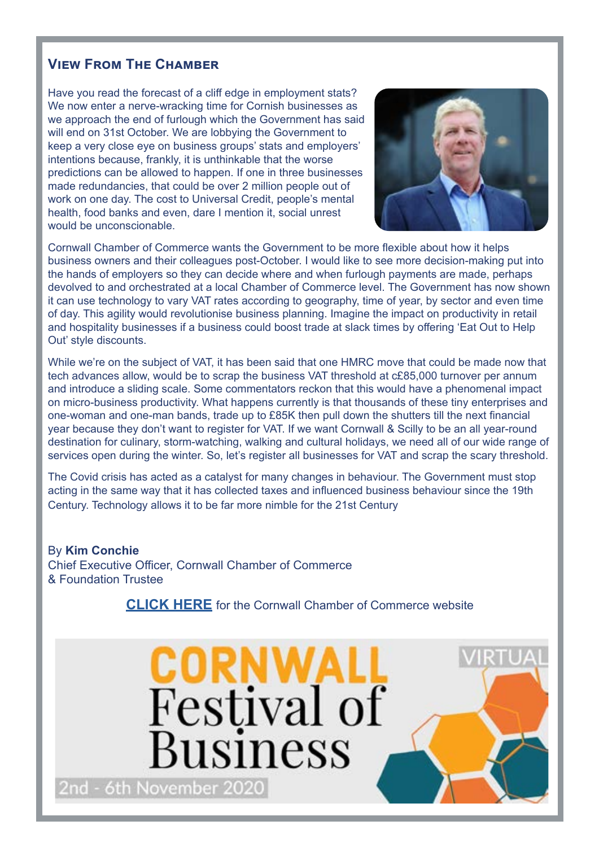### **View From The Chamber**

Have you read the forecast of a cliff edge in employment stats? We now enter a nerve-wracking time for Cornish businesses as we approach the end of furlough which the Government has said will end on 31st October. We are lobbying the Government to keep a very close eye on business groups' stats and employers' intentions because, frankly, it is unthinkable that the worse predictions can be allowed to happen. If one in three businesses made redundancies, that could be over 2 million people out of work on one day. The cost to Universal Credit, people's mental health, food banks and even, dare I mention it, social unrest would be unconscionable.



Cornwall Chamber of Commerce wants the Government to be more flexible about how it helps business owners and their colleagues post-October. I would like to see more decision-making put into the hands of employers so they can decide where and when furlough payments are made, perhaps devolved to and orchestrated at a local Chamber of Commerce level. The Government has now shown it can use technology to vary VAT rates according to geography, time of year, by sector and even time of day. This agility would revolutionise business planning. Imagine the impact on productivity in retail and hospitality businesses if a business could boost trade at slack times by offering 'Eat Out to Help Out' style discounts.

While we're on the subject of VAT, it has been said that one HMRC move that could be made now that tech advances allow, would be to scrap the business VAT threshold at c£85,000 turnover per annum and introduce a sliding scale. Some commentators reckon that this would have a phenomenal impact on micro-business productivity. What happens currently is that thousands of these tiny enterprises and one-woman and one-man bands, trade up to £85K then pull down the shutters till the next financial year because they don't want to register for VAT. If we want Cornwall & Scilly to be an all year-round destination for culinary, storm-watching, walking and cultural holidays, we need all of our wide range of services open during the winter. So, let's register all businesses for VAT and scrap the scary threshold.

The Covid crisis has acted as a catalyst for many changes in behaviour. The Government must stop acting in the same way that it has collected taxes and influenced business behaviour since the 19th Century. Technology allows it to be far more nimble for the 21st Century

By **Kim Conchie** Chief Executive Officer, Cornwall Chamber of Commerce & Foundation Trustee

**[CLICK HERE](https://www.cornwallchamber.co.uk/)** for the Cornwall Chamber of Commerce website

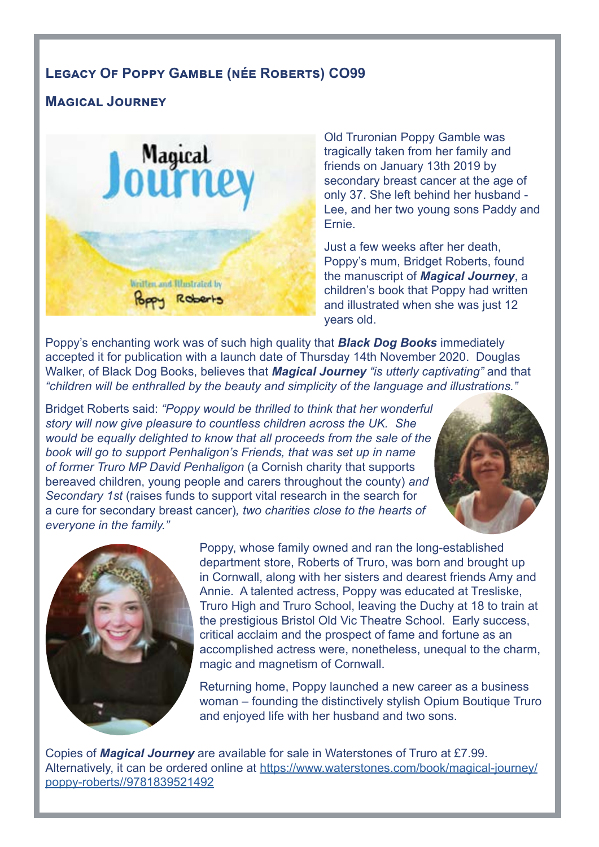## **Legacy Of Poppy Gamble (née Roberts) CO99**

### **Magical Journey**



Old Truronian Poppy Gamble was tragically taken from her family and friends on January 13th 2019 by secondary breast cancer at the age of only 37. She left behind her husband - Lee, and her two young sons Paddy and Ernie.

Just a few weeks after her death, Poppy's mum, Bridget Roberts, found the manuscript of *Magical Journey*, a children's book that Poppy had written and illustrated when she was just 12 years old.

Poppy's enchanting work was of such high quality that *Black Dog Books* immediately accepted it for publication with a launch date of Thursday 14th November 2020. Douglas Walker, of Black Dog Books, believes that *Magical Journey "is utterly captivating"* and that *"children will be enthralled by the beauty and simplicity of the language and illustrations."*

Bridget Roberts said: *"Poppy would be thrilled to think that her wonderful story will now give pleasure to countless children across the UK. She would be equally delighted to know that all proceeds from the sale of the book will go to support Penhaligon's Friends, that was set up in name of former Truro MP David Penhaligon* (a Cornish charity that supports bereaved children, young people and carers throughout the county) *and Secondary 1st* (raises funds to support vital research in the search for a cure for secondary breast cancer)*, two charities close to the hearts of everyone in the family."*



Poppy, whose family owned and ran the long-established department store, Roberts of Truro, was born and brought up in Cornwall, along with her sisters and dearest friends Amy and Annie. A talented actress, Poppy was educated at Tresliske, Truro High and Truro School, leaving the Duchy at 18 to train at the prestigious Bristol Old Vic Theatre School. Early success, critical acclaim and the prospect of fame and fortune as an accomplished actress were, nonetheless, unequal to the charm, magic and magnetism of Cornwall.

Returning home, Poppy launched a new career as a business woman – founding the distinctively stylish Opium Boutique Truro and enjoyed life with her husband and two sons.

Copies of *Magical Journey* are available for sale in Waterstones of Truro at £7.99. Alternatively, it can be ordered online at [https://www.waterstones.com/book/magical-journey/](https://www.waterstones.com/book/magical-journey/poppy-roberts//9781839521492 ) [poppy-roberts//9781839521492](https://www.waterstones.com/book/magical-journey/poppy-roberts//9781839521492 )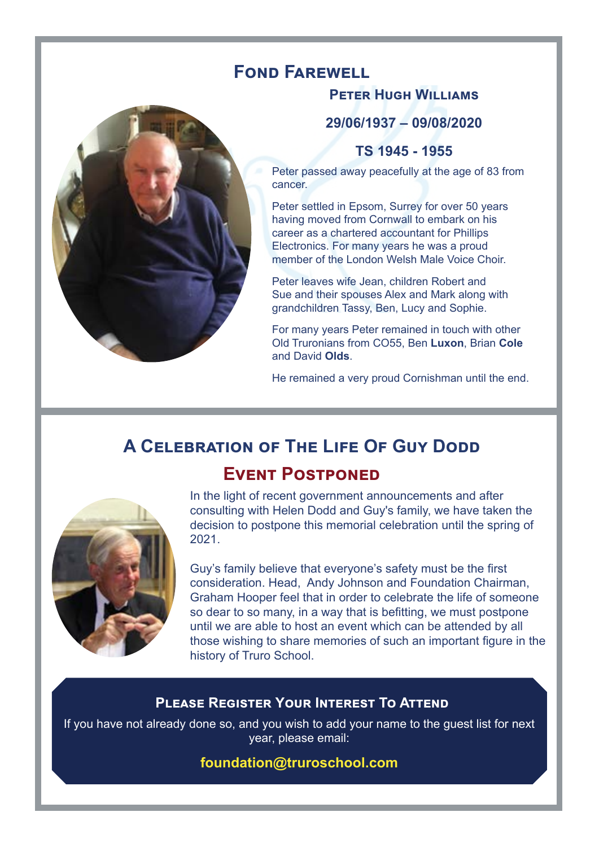# **FOND FAREWELL**

### **Peter Hugh Williams**

**29/06/1937 – 09/08/2020**

## **TS 1945 - 1955**

Peter passed away peacefully at the age of 83 from cancer.

Peter settled in Epsom, Surrey for over 50 years having moved from Cornwall to embark on his career as a chartered accountant for Phillips Electronics. For many years he was a proud member of the London Welsh Male Voice Choir.

Peter leaves wife Jean, children Robert and Sue and their spouses Alex and Mark along with grandchildren Tassy, Ben, Lucy and Sophie.

For many years Peter remained in touch with other Old Truronians from CO55, Ben **Luxon**, Brian **Cole** and David **Olds**.

He remained a very proud Cornishman until the end.

# **A CELEBRATION OF THE LIFE OF GUY DODD Event Postponed**



In the light of recent government announcements and after consulting with Helen Dodd and Guy's family, we have taken the decision to postpone this memorial celebration until the spring of 2021.

Guy's family believe that everyone's safety must be the first consideration. Head, Andy Johnson and Foundation Chairman, Graham Hooper feel that in order to celebrate the life of someone so dear to so many, in a way that is befitting, we must postpone until we are able to host an event which can be attended by all those wishing to share memories of such an important figure in the history of Truro School.

## **Please Register Your Interest To Attend**

If you have not already done so, and you wish to add your name to the guest list for next year, please email:

### **foundation@truroschool.com**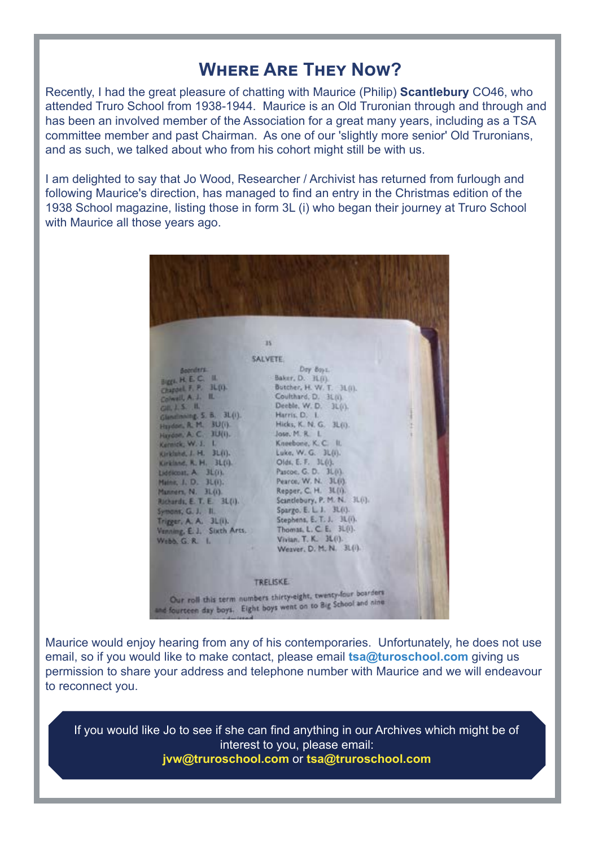## **Where Are They Now?**

Recently, I had the great pleasure of chatting with Maurice (Philip) **Scantlebury** CO46, who attended Truro School from 1938-1944. Maurice is an Old Truronian through and through and has been an involved member of the Association for a great many years, including as a TSA committee member and past Chairman. As one of our 'slightly more senior' Old Truronians, and as such, we talked about who from his cohort might still be with us.

I am delighted to say that Jo Wood, Researcher / Archivist has returned from furlough and following Maurice's direction, has managed to find an entry in the Christmas edition of the 1938 School magazine, listing those in form 3L (i) who began their journey at Truro School with Maurice all those years ago.

| Socialers.<br>BIZZIL H. E. C. IL<br>JL(0)<br>Chappel, F. P.<br>π<br>Colwell, A. J.<br>$GHLL$ 5. $H_1$<br>Glandinning, S. B. 3L(i).<br>Haydon, R. M. 3U(i).<br>Haydon, A. C. 3U(i).<br>Kernick, W. J. L.<br>Kirkland, J. H. 3L(i).<br>Kirkland, R. H. 31(f).<br>Lidekout, A 3L(i).<br>Maine, J. D. 31.0).<br>Manners, N. 3L(i).<br>Richards, E. T. E. 3L(i).<br>Symons, G. J. Il.<br>Trigger, A. A. 3L(i).<br>Venning, E. J. Sixth Arts.<br>Webb, G. R. L. | 15<br><b>SALVETE</b><br>Day Boys.<br>Baker, D. 31.(i).<br>Butcher, H. W. T. H.(i).<br>Coulthard, D. 3L(i).<br>Deeble, W. D. JL(i).<br>Harris, D. I.<br>Hicks, K. N. G. 3L(i).<br>Jose, M. R. L.<br>Knoebone, K. C. II.<br>Luke, W. G. 3L(i).<br>Olds, E. F. 3L(I).<br>Pascoe, G. D. 3L(i).<br>Pearce, W. N. 31.03.<br>Repper, C. H. 3L(i).<br>Scandebury, P. M. N. 3L(i).<br>Spargo, E. L. J. 3L(i).<br>Stephens, E. T. J. 3L(i).<br>Thomas, L. C. E. 3L(i).<br>Vivian, T. K. 3L(1).<br>Weaver, D. M. N. 31(i). |  |
|-----------------------------------------------------------------------------------------------------------------------------------------------------------------------------------------------------------------------------------------------------------------------------------------------------------------------------------------------------------------------------------------------------------------------------------------------------------|-----------------------------------------------------------------------------------------------------------------------------------------------------------------------------------------------------------------------------------------------------------------------------------------------------------------------------------------------------------------------------------------------------------------------------------------------------------------------------------------------------------------|--|
|                                                                                                                                                                                                                                                                                                                                                                                                                                                           | TRELISKE.                                                                                                                                                                                                                                                                                                                                                                                                                                                                                                       |  |
|                                                                                                                                                                                                                                                                                                                                                                                                                                                           | Our roll this term numbers thirty-eight, twenty-four boarders<br>and fourteen day boys. Eight boys went on to Big School and nine                                                                                                                                                                                                                                                                                                                                                                               |  |

Maurice would enjoy hearing from any of his contemporaries. Unfortunately, he does not use email, so if you would like to make contact, please email **tsa@turoschool.com** giving us permission to share your address and telephone number with Maurice and we will endeavour to reconnect you.

If you would like Jo to see if she can find anything in our Archives which might be of interest to you, please email: **jvw@truroschool.com** or **tsa@truroschool.com**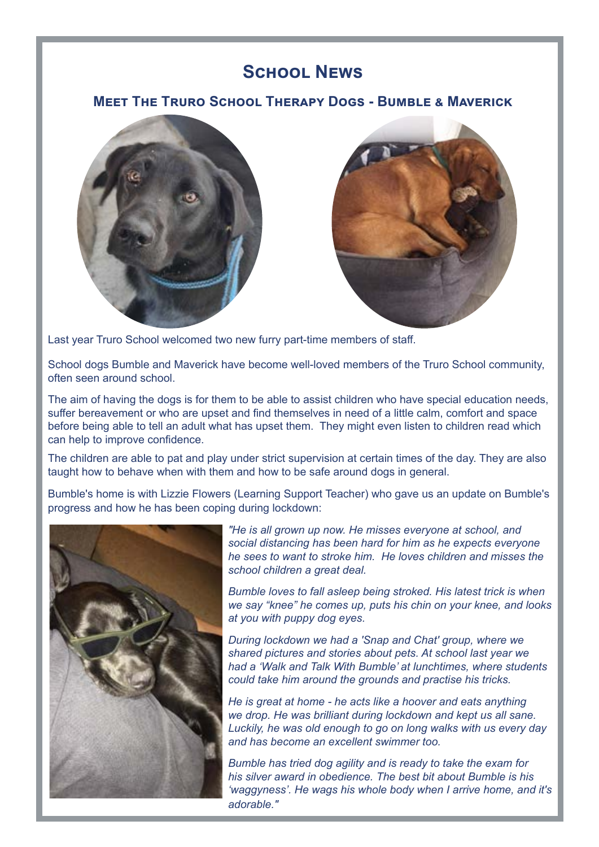## **School News**

#### **Meet The Truro School Therapy Dogs - Bumble & Maverick**





Last year Truro School welcomed two new furry part-time members of staff.

School dogs Bumble and Maverick have become well-loved members of the Truro School community, often seen around school.

The aim of having the dogs is for them to be able to assist children who have special education needs, suffer bereavement or who are upset and find themselves in need of a little calm, comfort and space before being able to tell an adult what has upset them. They might even listen to children read which can help to improve confidence.

The children are able to pat and play under strict supervision at certain times of the day. They are also taught how to behave when with them and how to be safe around dogs in general.

Bumble's home is with Lizzie Flowers (Learning Support Teacher) who gave us an update on Bumble's progress and how he has been coping during lockdown:



*"He is all grown up now. He misses everyone at school, and social distancing has been hard for him as he expects everyone he sees to want to stroke him. He loves children and misses the school children a great deal.*

*Bumble loves to fall asleep being stroked. His latest trick is when we say "knee" he comes up, puts his chin on your knee, and looks at you with puppy dog eyes.* 

*During lockdown we had a 'Snap and Chat' group, where we shared pictures and stories about pets. At school last year we had a 'Walk and Talk With Bumble' at lunchtimes, where students could take him around the grounds and practise his tricks.*

*He is great at home - he acts like a hoover and eats anything we drop. He was brilliant during lockdown and kept us all sane. Luckily, he was old enough to go on long walks with us every day and has become an excellent swimmer too.*

*Bumble has tried dog agility and is ready to take the exam for his silver award in obedience. The best bit about Bumble is his 'waggyness'. He wags his whole body when I arrive home, and it's adorable."*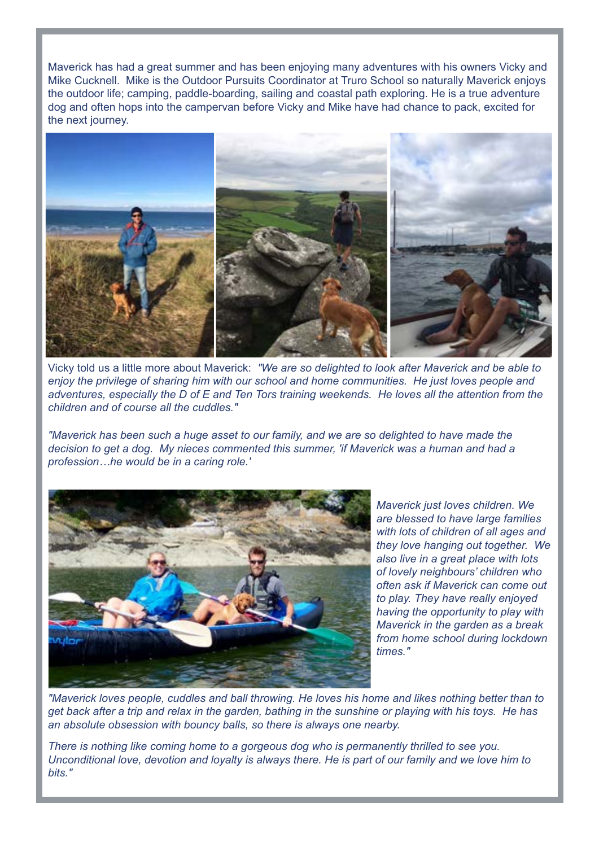Maverick has had a great summer and has been enjoying many adventures with his owners Vicky and Mike Cucknell. Mike is the Outdoor Pursuits Coordinator at Truro School so naturally Maverick enjoys the outdoor life; camping, paddle-boarding, sailing and coastal path exploring. He is a true adventure dog and often hops into the campervan before Vicky and Mike have had chance to pack, excited for the next journey.



Vicky told us a little more about Maverick: *"We are so delighted to look after Maverick and be able to enjoy the privilege of sharing him with our school and home communities. He just loves people and adventures, especially the D of E and Ten Tors training weekends. He loves all the attention from the children and of course all the cuddles."*

*"Maverick has been such a huge asset to our family, and we are so delighted to have made the decision to get a dog. My nieces commented this summer, 'if Maverick was a human and had a profession…he would be in a caring role.'* 



*Maverick just loves children. We are blessed to have large families with lots of children of all ages and they love hanging out together. We also live in a great place with lots of lovely neighbours' children who often ask if Maverick can come out to play. They have really enjoyed having the opportunity to play with Maverick in the garden as a break from home school during lockdown times."*

*"Maverick loves people, cuddles and ball throwing. He loves his home and likes nothing better than to get back after a trip and relax in the garden, bathing in the sunshine or playing with his toys. He has an absolute obsession with bouncy balls, so there is always one nearby.*

*There is nothing like coming home to a gorgeous dog who is permanently thrilled to see you. Unconditional love, devotion and loyalty is always there. He is part of our family and we love him to bits."*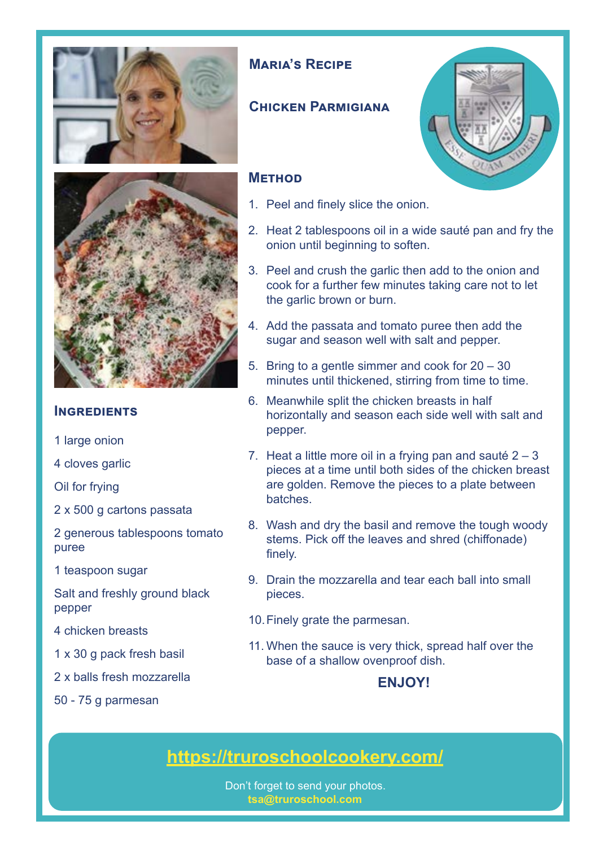



#### **INGREDIENTS**

- 1 large onion
- 4 cloves garlic

Oil for frying

2 x 500 g cartons passata

2 generous tablespoons tomato puree

1 teaspoon sugar

Salt and freshly ground black pepper

4 chicken breasts

- 1 x 30 g pack fresh basil
- 2 x balls fresh mozzarella
- 50 75 g parmesan

### **Maria's Recipe**

### **Chicken Parmigiana**

#### **Method**

- 1. Peel and finely slice the onion.
- 2. Heat 2 tablespoons oil in a wide sauté pan and fry the onion until beginning to soften.
- 3. Peel and crush the garlic then add to the onion and cook for a further few minutes taking care not to let the garlic brown or burn.
- 4. Add the passata and tomato puree then add the sugar and season well with salt and pepper.
- 5. Bring to a gentle simmer and cook for 20 30 minutes until thickened, stirring from time to time.
- 6. Meanwhile split the chicken breasts in half horizontally and season each side well with salt and pepper.
- 7. Heat a little more oil in a frying pan and sauté  $2 3$ pieces at a time until both sides of the chicken breast are golden. Remove the pieces to a plate between batches.
- 8. Wash and dry the basil and remove the tough woody stems. Pick off the leaves and shred (chiffonade) finely.
- 9. Drain the mozzarella and tear each ball into small pieces.
- 10.Finely grate the parmesan.
- 11. When the sauce is very thick, spread half over the base of a shallow ovenproof dish.

### **ENJOY!**

# **<https://truroschoolcookery.com/>**

Don't forget to send your photos. **tsa@truroschool.com** 

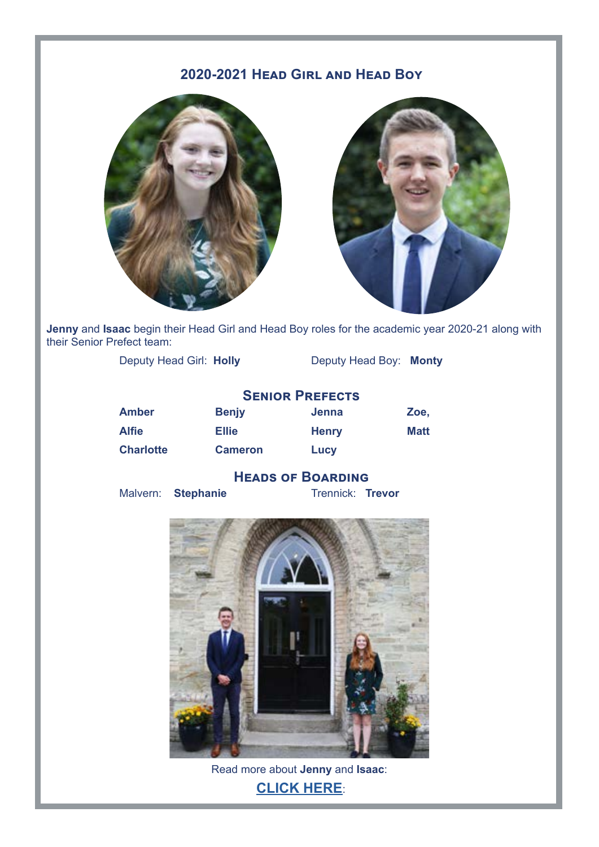## **2020-2021 Head Girl and Head Boy**





**Jenny** and **Isaac** begin their Head Girl and Head Boy roles for the academic year 2020-21 along with their Senior Prefect team:

Deputy Head Girl: **Holly** Deputy Head Boy: **Monty**

|                  | <b>SENIOR PREFECTS</b> |              |      |
|------------------|------------------------|--------------|------|
| <b>Amber</b>     | <b>Benjy</b>           | Jenna        | Zoe. |
| <b>Alfie</b>     | <b>Ellie</b>           | <b>Henry</b> | Matt |
| <b>Charlotte</b> | <b>Cameron</b>         | Lucy         |      |

# **HEADS OF BOARDING**<br>Trennick: Trevor

**Malvern:** Stephanie



Read more about **Jenny** and **Isaac**: **[CLICK HERE](https://www.truroschool.com/latest-news/introducing-the-new-head-girl-and-head-boy/?fbclid=IwAR0dab9CITVBptqcWPqefRfXmDKWGYUKWFX5vQrX_vxaoo4LQozLMgaSyyU)**: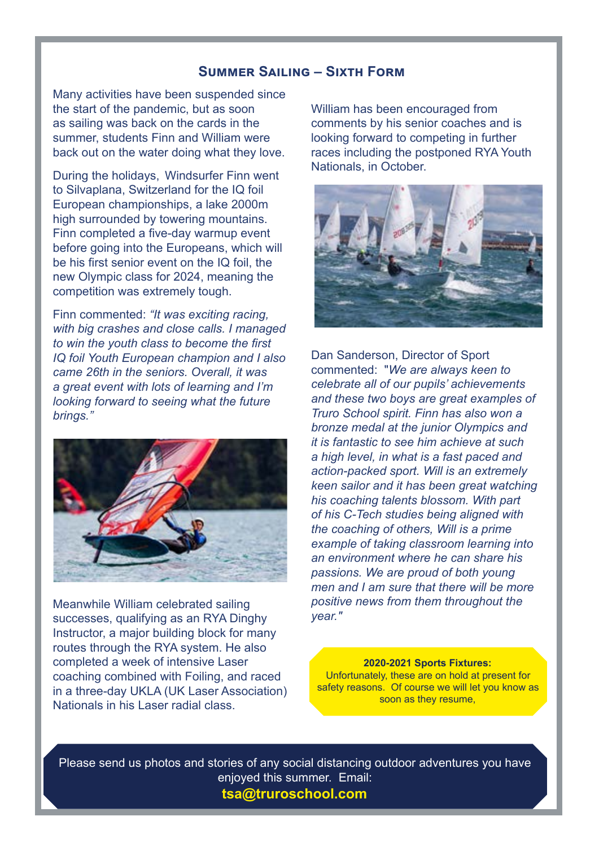#### **Summer Sailing – Sixth Form**

Many activities have been suspended since the start of the pandemic, but as soon as sailing was back on the cards in the summer, students Finn and William were back out on the water doing what they love.

During the holidays, Windsurfer Finn went to Silvaplana, Switzerland for the IQ foil European championships, a lake 2000m high surrounded by towering mountains. Finn completed a five-day warmup event before going into the Europeans, which will be his first senior event on the IQ foil, the new Olympic class for 2024, meaning the competition was extremely tough.

Finn commented: *"It was exciting racing, with big crashes and close calls. I managed to win the youth class to become the first IQ foil Youth European champion and I also came 26th in the seniors. Overall, it was a great event with lots of learning and I'm looking forward to seeing what the future brings."*



Meanwhile William celebrated sailing successes, qualifying as an RYA Dinghy Instructor, a major building block for many routes through the RYA system. He also completed a week of intensive Laser coaching combined with Foiling, and raced in a three-day UKLA (UK Laser Association) Nationals in his Laser radial class.

William has been encouraged from comments by his senior coaches and is looking forward to competing in further races including the postponed RYA Youth Nationals, in October.



Dan Sanderson, Director of Sport commented: "*We are always keen to celebrate all of our pupils' achievements and these two boys are great examples of Truro School spirit. Finn has also won a bronze medal at the junior Olympics and it is fantastic to see him achieve at such a high level, in what is a fast paced and action-packed sport. Will is an extremely keen sailor and it has been great watching his coaching talents blossom. With part of his C-Tech studies being aligned with the coaching of others, Will is a prime example of taking classroom learning into an environment where he can share his passions. We are proud of both young men and I am sure that there will be more positive news from them throughout the year."*

#### **2020-2021 Sports Fixtures:**

Unfortunately, these are on hold at present for safety reasons. Of course we will let you know as soon as they resume,

Please send us photos and stories of any social distancing outdoor adventures you have enjoyed this summer. Email: **tsa@truroschool.com**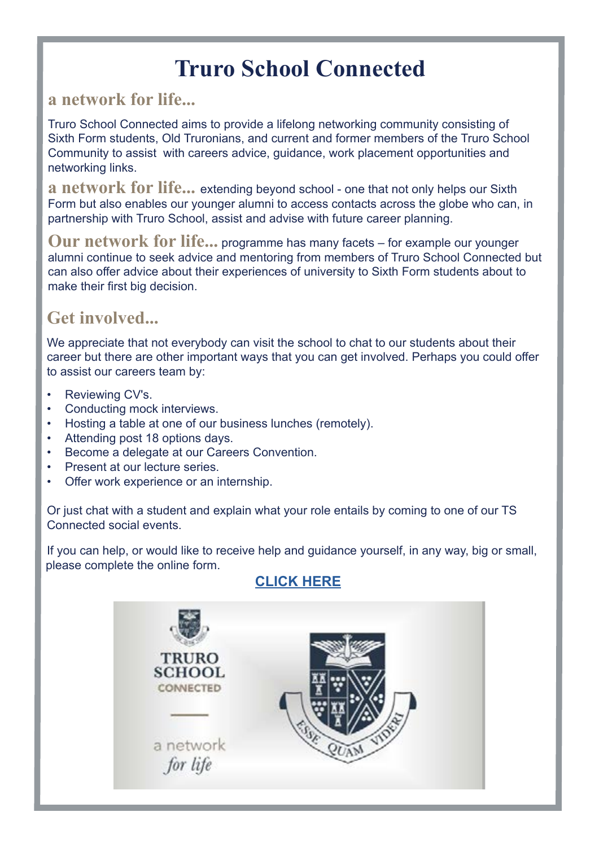# **Truro School Connected**

## **a network for life...**

Truro School Connected aims to provide a lifelong networking community consisting of Sixth Form students, Old Truronians, and current and former members of the Truro School Community to assist with careers advice, guidance, work placement opportunities and networking links.

**a network for life...** extending beyond school - one that not only helps our Sixth Form but also enables our younger alumni to access contacts across the globe who can, in partnership with Truro School, assist and advise with future career planning.

**Our network for life...** programme has many facets – for example our younger alumni continue to seek advice and mentoring from members of Truro School Connected but can also offer advice about their experiences of university to Sixth Form students about to make their first big decision.

# **Get involved...**

We appreciate that not everybody can visit the school to chat to our students about their career but there are other important ways that you can get involved. Perhaps you could offer to assist our careers team by:

- Reviewing CV's.
- Conducting mock interviews.
- Hosting a table at one of our business lunches (remotely).
- Attending post 18 options days.
- Become a delegate at our Careers Convention.
- Present at our lecture series.
- Offer work experience or an internship.

Or just chat with a student and explain what your role entails by coming to one of our TS Connected social events.

If you can help, or would like to receive help and guidance yourself, in any way, big or small, please complete the online form.

# **CLICK HERE**

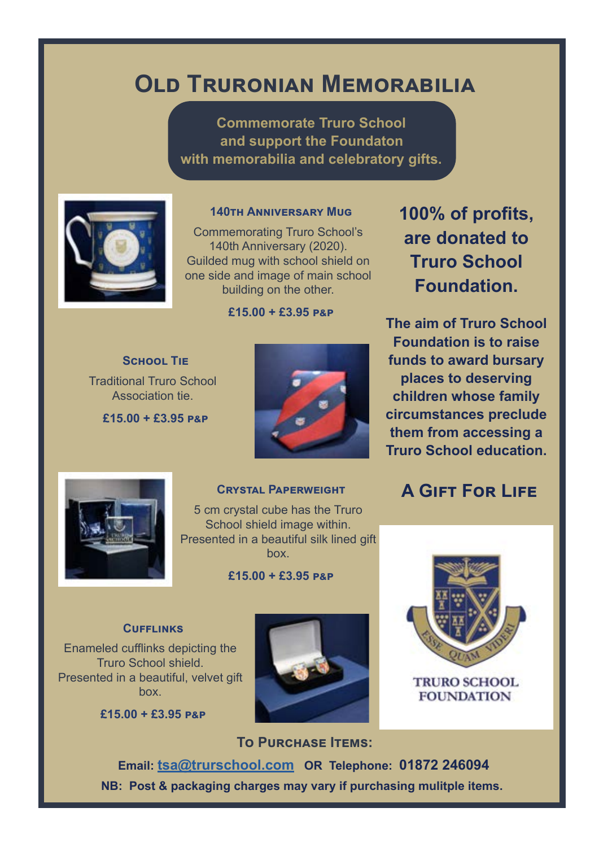# **Old Truronian Memorabilia**

**Commemorate Truro School and support the Foundaton with memorabilia and celebratory gifts.**



#### **140th Anniversary Mug**

Commemorating Truro School's 140th Anniversary (2020). Guilded mug with school shield on one side and image of main school building on the other.

**£15.00 + £3.95 p&p**

**School Tie** Traditional Truro School Association tie.

**£15.00 + £3.95 p&p**



**100% of profits, are donated to Truro School Foundation.** 

**The aim of Truro School Foundation is to raise funds to award bursary places to deserving children whose family circumstances preclude them from accessing a Truro School education.**

**A Gift For Life**



#### **Crystal Paperweight**

5 cm crystal cube has the Truro School shield image within. Presented in a beautiful silk lined gift box.

#### **£15.00 + £3.95 p&p**

# Enameled cufflinks depicting the

Truro School shield. Presented in a beautiful, velvet gift box.

**CUFFLINKS** 

**£15.00 + £3.95 p&p**





**TRURO SCHOOL FOUNDATION** 

**To Purchase Items: Email: tsa@trurschool.com OR Telephone: 01872 246094**

**NB: Post & packaging charges may vary if purchasing mulitple items.**